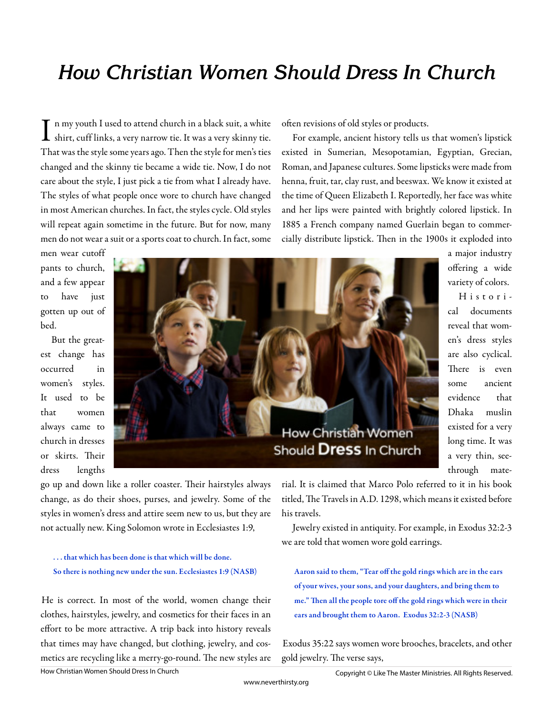# **How Christian Women Should Dress In Church**

In my youth I used to attend church in a black suit, a white<br>shirt, cuff links, a very narrow tie. It was a very skinny tie. n my youth I used to attend church in a black suit, a white That was the style some years ago. Then the style for men's ties changed and the skinny tie became a wide tie. Now, I do not care about the style, I just pick a tie from what I already have. The styles of what people once wore to church have changed in most American churches. In fact, the styles cycle. Old styles will repeat again sometime in the future. But for now, many men do not wear a suit or a sports coat to church. In fact, some

often revisions of old styles or products.

For example, ancient history tells us that women's lipstick existed in Sumerian, Mesopotamian, Egyptian, Grecian, Roman, and Japanese cultures. Some lipsticks were made from henna, fruit, tar, clay rust, and beeswax. We know it existed at the time of Queen Elizabeth I. Reportedly, her face was white and her lips were painted with brightly colored lipstick. In 1885 a French company named Guerlain began to commercially distribute lipstick. Then in the 1900s it exploded into

men wear cutoff pants to church, and a few appear to have just gotten up out of bed.

But the greatest change has occurred in women's styles. It used to be that women always came to church in dresses or skirts. Their dress lengths



a major industry offering a wide variety of colors. Histori-

cal documents reveal that women's dress styles are also cyclical. There is even some ancient evidence that Dhaka muslin existed for a very long time. It was a very thin, seethrough mate-

go up and down like a roller coaster. Their hairstyles always change, as do their shoes, purses, and jewelry. Some of the styles in women's dress and attire seem new to us, but they are not actually new. King Solomon wrote in Ecclesiastes 1:9,

### . . . that which has been done is that which will be done. So there is nothing new under the sun. Ecclesiastes 1:9 (NASB)

He is correct. In most of the world, women change their clothes, hairstyles, jewelry, and cosmetics for their faces in an effort to be more attractive. A trip back into history reveals that times may have changed, but clothing, jewelry, and cosmetics are recycling like a merry-go-round. The new styles are

rial. It is claimed that Marco Polo referred to it in his book titled. The Travels in A.D. 1298, which means it existed before his travels.

Jewelry existed in antiquity. For example, in Exodus 32:2-3 we are told that women wore gold earrings.

Aaron said to them, "Tear off the gold rings which are in the ears of your wives, your sons, and your daughters, and bring them to me." Then all the people tore off the gold rings which were in their ears and brought them to Aaron. Exodus 32:2-3 (NASB)

Exodus 35:22 says women wore brooches, bracelets, and other gold jewelry. The verse says,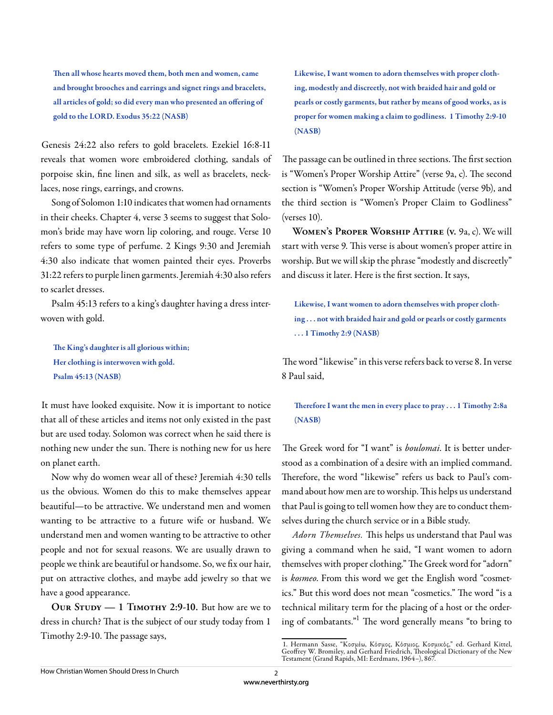Then all whose hearts moved them, both men and women, came and brought brooches and earrings and signet rings and bracelets, all articles of gold; so did every man who presented an offering of gold to the LORD. Exodus 35:22 (NASB)

Genesis 24:22 also refers to gold bracelets. Ezekiel 16:8-11 reveals that women wore embroidered clothing, sandals of porpoise skin, fine linen and silk, as well as bracelets, necklaces, nose rings, earrings, and crowns.

Song of Solomon 1:10 indicates that women had ornaments in their cheeks. Chapter 4, verse 3 seems to suggest that Solomon's bride may have worn lip coloring, and rouge. Verse 10 refers to some type of perfume. 2 Kings 9:30 and Jeremiah 4:30 also indicate that women painted their eyes. Proverbs 31:22 refers to purple linen garments. Jeremiah 4:30 also refers to scarlet dresses.

Psalm 45:13 refers to a king's daughter having a dress interwoven with gold.

The King's daughter is all glorious within; Her clothing is interwoven with gold. Psalm 45:13 (NASB)

It must have looked exquisite. Now it is important to notice that all of these articles and items not only existed in the past but are used today. Solomon was correct when he said there is nothing new under the sun. There is nothing new for us here on planet earth.

Now why do women wear all of these? Jeremiah 4:30 tells us the obvious. Women do this to make themselves appear beautiful—to be attractive. We understand men and women wanting to be attractive to a future wife or husband. We understand men and women wanting to be attractive to other people and not for sexual reasons. We are usually drawn to people we think are beautiful or handsome. So, we fix our hair, put on attractive clothes, and maybe add jewelry so that we have a good appearance.

**Our Study — 1 Timothy 2:9-10.** But how are we to dress in church? That is the subject of our study today from 1 Timothy 2:9-10. The passage says,

Likewise, I want women to adorn themselves with proper clothing, modestly and discreetly, not with braided hair and gold or pearls or costly garments, but rather by means of good works, as is proper for women making a claim to godliness. 1 Timothy 2:9-10 (NASB)

The passage can be outlined in three sections. The first section is "Women's Proper Worship Attire" (verse 9a, c). The second section is "Women's Proper Worship Attitude (verse 9b), and the third section is "Women's Proper Claim to Godliness" (verses 10).

**Women's Proper Worship Attire (v.** 9a, c). We will start with verse 9. This verse is about women's proper attire in worship. But we will skip the phrase "modestly and discreetly" and discuss it later. Here is the first section. It says,

Likewise, I want women to adorn themselves with proper clothing . . . not with braided hair and gold or pearls or costly garments . . . 1 Timothy 2:9 (NASB)

The word "likewise" in this verse refers back to verse 8. In verse 8 Paul said,

## Therefore I want the men in every place to pray . . . 1 Timothy 2:8a (NASB)

The Greek word for "I want" is *boulomai*. It is better understood as a combination of a desire with an implied command. Therefore, the word "likewise" refers us back to Paul's command about how men are to worship. This helps us understand that Paul is going to tell women how they are to conduct themselves during the church service or in a Bible study.

Adorn Themselves. This helps us understand that Paul was giving a command when he said, "I want women to adorn themselves with proper clothing." The Greek word for "adorn" is *kosmeo*. From this word we get the English word "cosmetics." But this word does not mean "cosmetics." The word "is a technical military term for the placing of a host or the ordering of combatants."<sup>1</sup> The word generally means "to bring to

<sup>1.</sup> Hermann Sasse, "Κοσμέω, Κόσμος, Κόσμιος, Κοσμικός," ed. Gerhard Kittel, Geoffrey W. Bromiley, and Gerhard Friedrich, Theological Dictionary of the New Testament (Grand Rapids, MI: Eerdmans, 1964–), 867.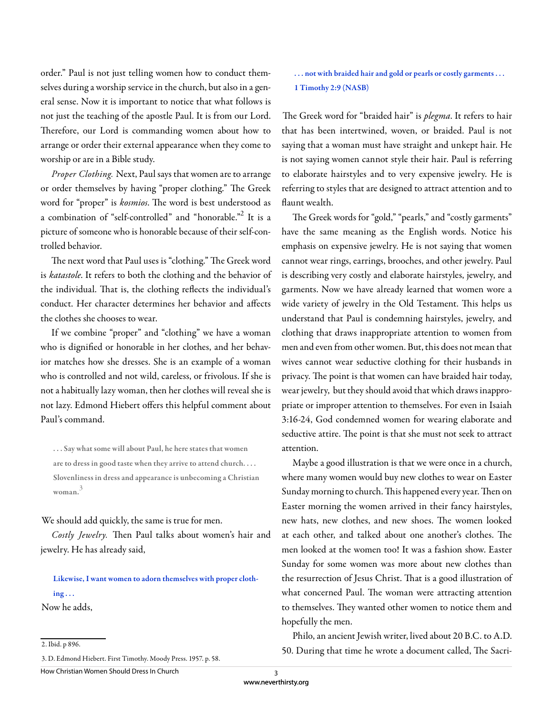order." Paul is not just telling women how to conduct themselves during a worship service in the church, but also in a general sense. Now it is important to notice that what follows is not just the teaching of the apostle Paul. It is from our Lord. Therefore, our Lord is commanding women about how to arrange or order their external appearance when they come to worship or are in a Bible study.

*Proper Clothing.* Next, Paul says that women are to arrange or order themselves by having "proper clothing." The Greek word for "proper" is *kosmios*. The word is best understood as a combination of "self-controlled" and "honorable."<sup>2</sup> It is a picture of someone who is honorable because of their self-controlled behavior.

The next word that Paul uses is "clothing." The Greek word is *katastole*. It refers to both the clothing and the behavior of the individual. That is, the clothing reflects the individual's conduct. Her character determines her behavior and affects the clothes she chooses to wear.

If we combine "proper" and "clothing" we have a woman who is dignified or honorable in her clothes, and her behavior matches how she dresses. She is an example of a woman who is controlled and not wild, careless, or frivolous. If she is not a habitually lazy woman, then her clothes will reveal she is not lazy. Edmond Hiebert offers this helpful comment about Paul's command.

. . . Say what some will about Paul, he here states that women are to dress in good taste when they arrive to attend church. . . . Slovenliness in dress and appearance is unbecoming a Christian woman. 3

#### We should add quickly, the same is true for men.

Costly Jewelry. Then Paul talks about women's hair and jewelry. He has already said,

Likewise, I want women to adorn themselves with proper cloth $ing...$ Now he adds,

2. Ibid. p 896.

3. D. Edmond Hiebert. First Timothy. Moody Press. 1957. p. 58.

How Christian Women Should Dress In Church

## ... not with braided hair and gold or pearls or costly garments ... 1 Timothy 2:9 (NASB)

The Greek word for "braided hair" is *plegma*. It refers to hair that has been intertwined, woven, or braided. Paul is not saying that a woman must have straight and unkept hair. He is not saying women cannot style their hair. Paul is referring to elaborate hairstyles and to very expensive jewelry. He is referring to styles that are designed to attract attention and to flaunt wealth.

The Greek words for "gold," "pearls," and "costly garments" have the same meaning as the English words. Notice his emphasis on expensive jewelry. He is not saying that women cannot wear rings, earrings, brooches, and other jewelry. Paul is describing very costly and elaborate hairstyles, jewelry, and garments. Now we have already learned that women wore a wide variety of jewelry in the Old Testament. This helps us understand that Paul is condemning hairstyles, jewelry, and clothing that draws inappropriate attention to women from men and even from other women. But, this does not mean that wives cannot wear seductive clothing for their husbands in privacy. The point is that women can have braided hair today, wear jewelry, but they should avoid that which draws inappropriate or improper attention to themselves. For even in Isaiah 3:16-24, God condemned women for wearing elaborate and seductive attire. The point is that she must not seek to attract attention.

Maybe a good illustration is that we were once in a church, where many women would buy new clothes to wear on Easter Sunday morning to church. This happened every year. Then on Easter morning the women arrived in their fancy hairstyles, new hats, new clothes, and new shoes. The women looked at each other, and talked about one another's clothes. The men looked at the women too! It was a fashion show. Easter Sunday for some women was more about new clothes than the resurrection of Jesus Christ. Th at is a good illustration of what concerned Paul. The woman were attracting attention to themselves. They wanted other women to notice them and hopefully the men.

Philo, an ancient Jewish writer, lived about 20 B.C. to A.D. 50. During that time he wrote a document called, The Sacri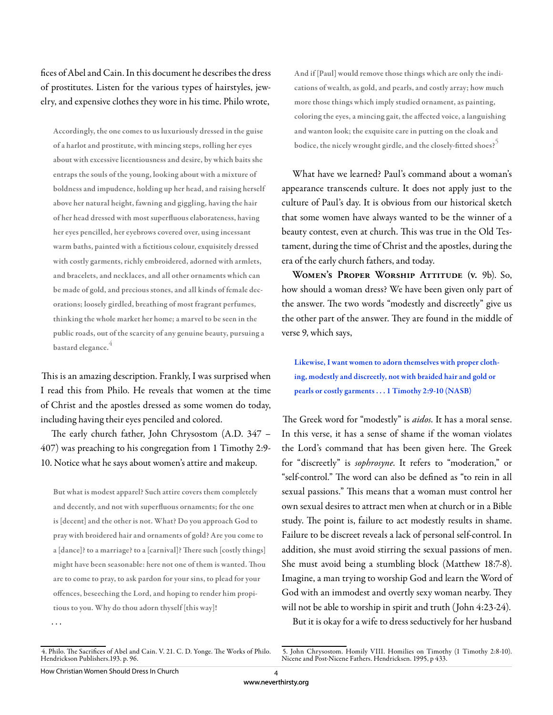fices of Abel and Cain. In this document he describes the dress of prostitutes. Listen for the various types of hairstyles, jewelry, and expensive clothes they wore in his time. Philo wrote,

Accordingly, the one comes to us luxuriously dressed in the guise of a harlot and prostitute, with mincing steps, rolling her eyes about with excessive licentiousness and desire, by which baits she entraps the souls of the young, looking about with a mixture of boldness and impudence, holding up her head, and raising herself above her natural height, fawning and giggling, having the hair of her head dressed with most superfluous elaborateness, having her eyes pencilled, her eyebrows covered over, using incessant warm baths, painted with a fictitious colour, exquisitely dressed with costly garments, richly embroidered, adorned with armlets, and bracelets, and necklaces, and all other ornaments which can be made of gold, and precious stones, and all kinds of female decorations; loosely girdled, breathing of most fragrant perfumes, thinking the whole market her home; a marvel to be seen in the public roads, out of the scarcity of any genuine beauty, pursuing a bastard elegance.<sup>4</sup>

This is an amazing description. Frankly, I was surprised when I read this from Philo. He reveals that women at the time of Christ and the apostles dressed as some women do today, including having their eyes penciled and colored.

The early church father, John Chrysostom (A.D. 347 -407) was preaching to his congregation from 1 Timothy 2:9- 10. Notice what he says about women's attire and makeup.

But what is modest apparel? Such attire covers them completely and decently, and not with superfluous ornaments; for the one is [decent] and the other is not. What? Do you approach God to pray with broidered hair and ornaments of gold? Are you come to a [dance]? to a marriage? to a [carnival]? There such [costly things] might have been seasonable: here not one of them is wanted. Thou are to come to pray, to ask pardon for your sins, to plead for your offences, beseeching the Lord, and hoping to render him propitious to you. Why do thou adorn thyself [this way]!

And if [Paul] would remove those things which are only the indications of wealth, as gold, and pearls, and costly array; how much more those things which imply studied ornament, as painting, coloring the eyes, a mincing gait, the affected voice, a languishing and wanton look; the exquisite care in putting on the cloak and bodice, the nicely wrought girdle, and the closely-fitted shoes?<sup>5</sup>

What have we learned? Paul's command about a woman's appearance transcends culture. It does not apply just to the culture of Paul's day. It is obvious from our historical sketch that some women have always wanted to be the winner of a beauty contest, even at church. This was true in the Old Testament, during the time of Christ and the apostles, during the era of the early church fathers, and today.

**Women's Proper Worship Attitude (v.** 9b). So, how should a woman dress? We have been given only part of the answer. The two words "modestly and discreetly" give us the other part of the answer. They are found in the middle of verse 9, which says,

Likewise, I want women to adorn themselves with proper clothing, modestly and discreetly, not with braided hair and gold or pearls or costly garments . . . 1 Timothy 2:9-10 (NASB)

The Greek word for "modestly" is *aidos*. It has a moral sense. In this verse, it has a sense of shame if the woman violates the Lord's command that has been given here. The Greek for "discreetly" is *sophrosyne*. It refers to "moderation," or "self-control." The word can also be defined as "to rein in all sexual passions." This means that a woman must control her own sexual desires to attract men when at church or in a Bible study. The point is, failure to act modestly results in shame. Failure to be discreet reveals a lack of personal self-control. In addition, she must avoid stirring the sexual passions of men. She must avoid being a stumbling block (Matthew 18:7-8). Imagine, a man trying to worship God and learn the Word of God with an immodest and overtly sexy woman nearby. They will not be able to worship in spirit and truth (John 4:23-24).

But it is okay for a wife to dress seductively for her husband

. . .

<sup>4.</sup> Philo. The Sacrifices of Abel and Cain. V. 21. C. D. Yonge. The Works of Philo. Hendrickson Publishers.193. p. 96.

<sup>5.</sup> John Chrysostom. Homily VIII. Homilies on Timothy (1 Timothy 2:8-10). Nicene and Post-Nicene Fathers. Hendricksen. 1995, p 433.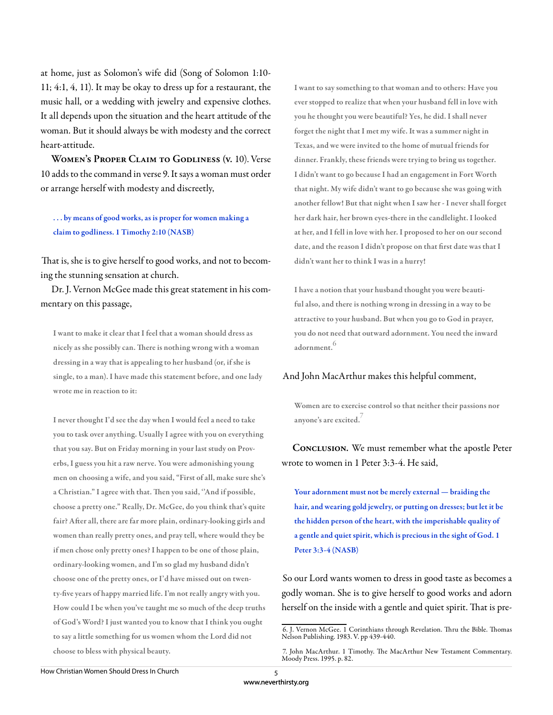at home, just as Solomon's wife did (Song of Solomon 1:10- 11; 4:1, 4, 11). It may be okay to dress up for a restaurant, the music hall, or a wedding with jewelry and expensive clothes. It all depends upon the situation and the heart attitude of the woman. But it should always be with modesty and the correct heart-attitude.

**Women's Proper Claim to Godliness (v.** 10). Verse 10 adds to the command in verse 9. It says a woman must order or arrange herself with modesty and discreetly,

. . . by means of good works, as is proper for women making a claim to godliness. 1 Timothy 2:10 (NASB)

That is, she is to give herself to good works, and not to becoming the stunning sensation at church.

Dr. J. Vernon McGee made this great statement in his commentary on this passage,

I want to make it clear that I feel that a woman should dress as nicely as she possibly can. There is nothing wrong with a woman dressing in a way that is appealing to her husband (or, if she is single, to a man). I have made this statement before, and one lady wrote me in reaction to it:

I never thought I'd see the day when I would feel a need to take you to task over anything. Usually I agree with you on everything that you say. But on Friday morning in your last study on Proverbs, I guess you hit a raw nerve. You were admonishing young men on choosing a wife, and you said, "First of all, make sure she's a Christian." I agree with that. Then you said, "And if possible, choose a pretty one." Really, Dr. McGee, do you think that's quite fair? After all, there are far more plain, ordinary-looking girls and women than really pretty ones, and pray tell, where would they be if men chose only pretty ones? I happen to be one of those plain, ordinary-looking women, and I'm so glad my husband didn't choose one of the pretty ones, or I'd have missed out on twenty-five years of happy married life. I'm not really angry with you. How could I be when you've taught me so much of the deep truths of God's Word? I just wanted you to know that I think you ought to say a little something for us women whom the Lord did not choose to bless with physical beauty.

I want to say something to that woman and to others: Have you ever stopped to realize that when your husband fell in love with you he thought you were beautiful? Yes, he did. I shall never forget the night that I met my wife. It was a summer night in Texas, and we were invited to the home of mutual friends for dinner. Frankly, these friends were trying to bring us together. I didn't want to go because I had an engagement in Fort Worth that night. My wife didn't want to go because she was going with another fellow! But that night when I saw her - I never shall forget her dark hair, her brown eyes-there in the candlelight. I looked at her, and I fell in love with her. I proposed to her on our second date, and the reason I didn't propose on that first date was that I didn't want her to think I was in a hurry!

I have a notion that your husband thought you were beautiful also, and there is nothing wrong in dressing in a way to be attractive to your husband. But when you go to God in prayer, you do not need that outward adornment. You need the inward adornment.<sup>6</sup>

#### And John MacArthur makes this helpful comment,

Women are to exercise control so that neither their passions nor anyone's are excited.

**Conclusion.** We must remember what the apostle Peter wrote to women in 1 Peter 3:3-4. He said,

Your adornment must not be merely external — braiding the hair, and wearing gold jewelry, or putting on dresses; but let it be the hidden person of the heart, with the imperishable quality of a gentle and quiet spirit, which is precious in the sight of God. 1 Peter 3:3-4 (NASB)

So our Lord wants women to dress in good taste as becomes a godly woman. She is to give herself to good works and adorn herself on the inside with a gentle and quiet spirit. That is pre-

<sup>6.</sup> J. Vernon McGee. 1 Corinthians through Revelation. Thru the Bible. Thomas Nelson Publishing. 1983. V. pp 439-440.

<sup>7.</sup> John MacArthur. 1 Timothy. The MacArthur New Testament Commentary. Moody Press. 1995. p. 82.